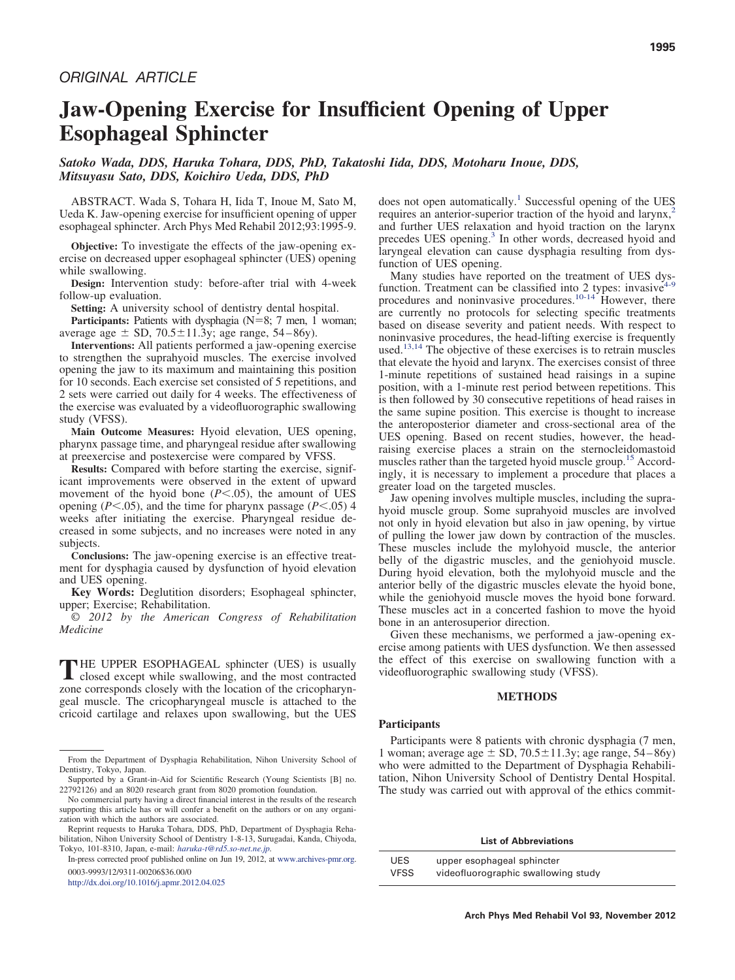# **Jaw-Opening Exercise for Insufficient Opening of Upper Esophageal Sphincter**

*Satoko Wada, DDS, Haruka Tohara, DDS, PhD, Takatoshi Iida, DDS, Motoharu Inoue, DDS, Mitsuyasu Sato, DDS, Koichiro Ueda, DDS, PhD*

ABSTRACT. Wada S, Tohara H, Iida T, Inoue M, Sato M, Ueda K. Jaw-opening exercise for insufficient opening of upper esophageal sphincter. Arch Phys Med Rehabil 2012;93:1995-9.

**Objective:** To investigate the effects of the jaw-opening exercise on decreased upper esophageal sphincter (UES) opening while swallowing.

**Design:** Intervention study: before-after trial with 4-week follow-up evaluation.

**Setting:** A university school of dentistry dental hospital.

**Participants:** Patients with dysphagia ( $N=8$ ; 7 men, 1 woman; average age  $\pm$  SD, 70.5 $\pm$ 11.3y; age range, 54–86y).

**Interventions:** All patients performed a jaw-opening exercise to strengthen the suprahyoid muscles. The exercise involved opening the jaw to its maximum and maintaining this position for 10 seconds. Each exercise set consisted of 5 repetitions, and 2 sets were carried out daily for 4 weeks. The effectiveness of the exercise was evaluated by a videofluorographic swallowing study (VFSS).

**Main Outcome Measures:** Hyoid elevation, UES opening, pharynx passage time, and pharyngeal residue after swallowing at preexercise and postexercise were compared by VFSS.

**Results:** Compared with before starting the exercise, significant improvements were observed in the extent of upward movement of the hyoid bone  $(P<.05)$ , the amount of UES opening ( $P \le 0.05$ ), and the time for pharynx passage ( $P \le 0.05$ ) 4 weeks after initiating the exercise. Pharyngeal residue decreased in some subjects, and no increases were noted in any subjects.

**Conclusions:** The jaw-opening exercise is an effective treatment for dysphagia caused by dysfunction of hyoid elevation and UES opening.

**Key Words:** Deglutition disorders; Esophageal sphincter, upper; Exercise; Rehabilitation.

© *2012 by the American Congress of Rehabilitation Medicine*

THE UPPER ESOPHAGEAL sphincter (UES) is usually closed except while swallowing, and the most contracted zone corresponds closely with the location of the cricopharyngeal muscle. The cricopharyngeal muscle is attached to the cricoid cartilage and relaxes upon swallowing, but the UES

In-press corrected proof published online on Jun 19, 2012, at [www.archives-pmr.org.](http://www.archives-pmr.org) 0003-9993/12/9311-00206\$36.00/0

<http://dx.doi.org/10.1016/j.apmr.2012.04.025>

does not open automatically.<sup>[1](#page-3-0)</sup> Successful opening of the UES requires an anterior-superior traction of the hyoid and larynx, and further UES relaxation and hyoid traction on the larynx precedes UES opening.<sup>3</sup> In other words, decreased hyoid and laryngeal elevation can cause dysphagia resulting from dysfunction of UES opening.

Many studies have reported on the treatment of UES dysfunction. Treatment can be classified into 2 types: invasive $4-9$ procedures and noninvasive procedures.<sup>[10-14](#page-3-4)</sup> However, there are currently no protocols for selecting specific treatments based on disease severity and patient needs. With respect to noninvasive procedures, the head-lifting exercise is frequently used[.13,14](#page-3-5) The objective of these exercises is to retrain muscles that elevate the hyoid and larynx. The exercises consist of three 1-minute repetitions of sustained head raisings in a supine position, with a 1-minute rest period between repetitions. This is then followed by 30 consecutive repetitions of head raises in the same supine position. This exercise is thought to increase the anteroposterior diameter and cross-sectional area of the UES opening. Based on recent studies, however, the headraising exercise places a strain on the sternocleidomastoid muscles rather than the targeted hyoid muscle group.<sup>[15](#page-3-6)</sup> Accordingly, it is necessary to implement a procedure that places a greater load on the targeted muscles.

Jaw opening involves multiple muscles, including the suprahyoid muscle group. Some suprahyoid muscles are involved not only in hyoid elevation but also in jaw opening, by virtue of pulling the lower jaw down by contraction of the muscles. These muscles include the mylohyoid muscle, the anterior belly of the digastric muscles, and the geniohyoid muscle. During hyoid elevation, both the mylohyoid muscle and the anterior belly of the digastric muscles elevate the hyoid bone, while the geniohyoid muscle moves the hyoid bone forward. These muscles act in a concerted fashion to move the hyoid bone in an anterosuperior direction.

Given these mechanisms, we performed a jaw-opening exercise among patients with UES dysfunction. We then assessed the effect of this exercise on swallowing function with a videofluorographic swallowing study (VFSS).

### **METHODS**

#### **Participants**

Participants were 8 patients with chronic dysphagia (7 men, 1 woman; average age  $\pm$  SD, 70.5 $\pm$ 11.3y; age range, 54–86y) who were admitted to the Department of Dysphagia Rehabilitation, Nihon University School of Dentistry Dental Hospital. The study was carried out with approval of the ethics commit-

UES upper esophageal sphincter VFSS videofluorographic swallowing study

# **List of Abbreviations**

From the Department of Dysphagia Rehabilitation, Nihon University School of Dentistry, Tokyo, Japan.

Supported by a Grant-in-Aid for Scientific Research (Young Scientists [B] no. 22792126) and an 8020 research grant from 8020 promotion foundation.

No commercial party having a direct financial interest in the results of the research supporting this article has or will confer a benefit on the authors or on any organization with which the authors are associated.

Reprint requests to Haruka Tohara, DDS, PhD, Department of Dysphagia Rehabilitation, Nihon University School of Dentistry 1-8-13, Surugadai, Kanda, Chiyoda, Tokyo, 101-8310, Japan, e-mail: *[haruka-t@rd5.so-net.ne.jp.](mailto:haruka-t@rd5.so-net.ne.jp)*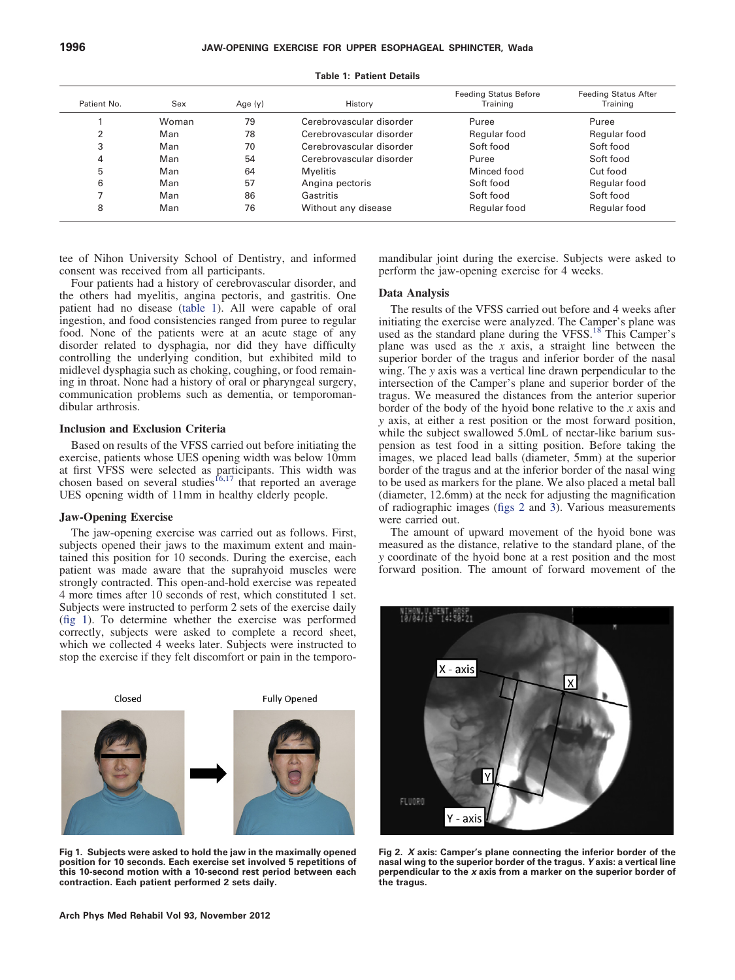| Patient No. | Sex   | Age $(y)$ | History                  | <b>Feeding Status Before</b><br>Training | <b>Feeding Status After</b><br>Training |
|-------------|-------|-----------|--------------------------|------------------------------------------|-----------------------------------------|
|             | Woman | 79        | Cerebrovascular disorder | Puree                                    | Puree                                   |
| 2           | Man   | 78        | Cerebrovascular disorder | Regular food                             | Regular food                            |
| 3           | Man   | 70        | Cerebrovascular disorder | Soft food                                | Soft food                               |
| 4           | Man   | 54        | Cerebrovascular disorder | Puree                                    | Soft food                               |
| 5           | Man   | 64        | <b>Myelitis</b>          | Minced food                              | Cut food                                |
| 6           | Man   | 57        | Angina pectoris          | Soft food                                | Regular food                            |
|             | Man   | 86        | Gastritis                | Soft food                                | Soft food                               |
| 8           | Man   | 76        | Without any disease      | Regular food                             | Regular food                            |

<span id="page-1-0"></span>**Table 1: Patient Details**

tee of Nihon University School of Dentistry, and informed consent was received from all participants.

Four patients had a history of cerebrovascular disorder, and the others had myelitis, angina pectoris, and gastritis. One patient had no disease [\(table 1\)](#page-1-0). All were capable of oral ingestion, and food consistencies ranged from puree to regular food. None of the patients were at an acute stage of any disorder related to dysphagia, nor did they have difficulty controlling the underlying condition, but exhibited mild to midlevel dysphagia such as choking, coughing, or food remaining in throat. None had a history of oral or pharyngeal surgery, communication problems such as dementia, or temporomandibular arthrosis.

# **Inclusion and Exclusion Criteria**

Based on results of the VFSS carried out before initiating the exercise, patients whose UES opening width was below 10mm at first VFSS were selected as participants. This width was chosen based on several studies<sup>[16,17](#page-3-7)</sup> that reported an average UES opening width of 11mm in healthy elderly people.

#### **Jaw-Opening Exercise**

The jaw-opening exercise was carried out as follows. First, subjects opened their jaws to the maximum extent and maintained this position for 10 seconds. During the exercise, each patient was made aware that the suprahyoid muscles were strongly contracted. This open-and-hold exercise was repeated 4 more times after 10 seconds of rest, which constituted 1 set. Subjects were instructed to perform 2 sets of the exercise daily [\(fig 1\)](#page-1-1). To determine whether the exercise was performed correctly, subjects were asked to complete a record sheet, which we collected 4 weeks later. Subjects were instructed to stop the exercise if they felt discomfort or pain in the temporo-



<span id="page-1-1"></span>**Fig 1. Subjects were asked to hold the jaw in the maximally opened position for 10 seconds. Each exercise set involved 5 repetitions of this 10-second motion with a 10-second rest period between each contraction. Each patient performed 2 sets daily.**

mandibular joint during the exercise. Subjects were asked to perform the jaw-opening exercise for 4 weeks.

#### **Data Analysis**

The results of the VFSS carried out before and 4 weeks after initiating the exercise were analyzed. The Camper's plane was used as the standard plane during the VFSS.<sup>[18](#page-3-8)</sup> This Camper's plane was used as the *x* axis, a straight line between the superior border of the tragus and inferior border of the nasal wing. The *y* axis was a vertical line drawn perpendicular to the intersection of the Camper's plane and superior border of the tragus. We measured the distances from the anterior superior border of the body of the hyoid bone relative to the *x* axis and *y* axis, at either a rest position or the most forward position, while the subject swallowed 5.0mL of nectar-like barium suspension as test food in a sitting position. Before taking the images, we placed lead balls (diameter, 5mm) at the superior border of the tragus and at the inferior border of the nasal wing to be used as markers for the plane. We also placed a metal ball (diameter, 12.6mm) at the neck for adjusting the magnification of radiographic images [\(figs 2](#page-1-2) and [3\)](#page-2-0). Various measurements were carried out.

The amount of upward movement of the hyoid bone was measured as the distance, relative to the standard plane, of the *y* coordinate of the hyoid bone at a rest position and the most forward position. The amount of forward movement of the



<span id="page-1-2"></span>**Fig 2.** *X* **axis: Camper's plane connecting the inferior border of the nasal wing to the superior border of the tragus.** *Y* **axis: a vertical line perpendicular to the** *x* **axis from a marker on the superior border of the tragus.**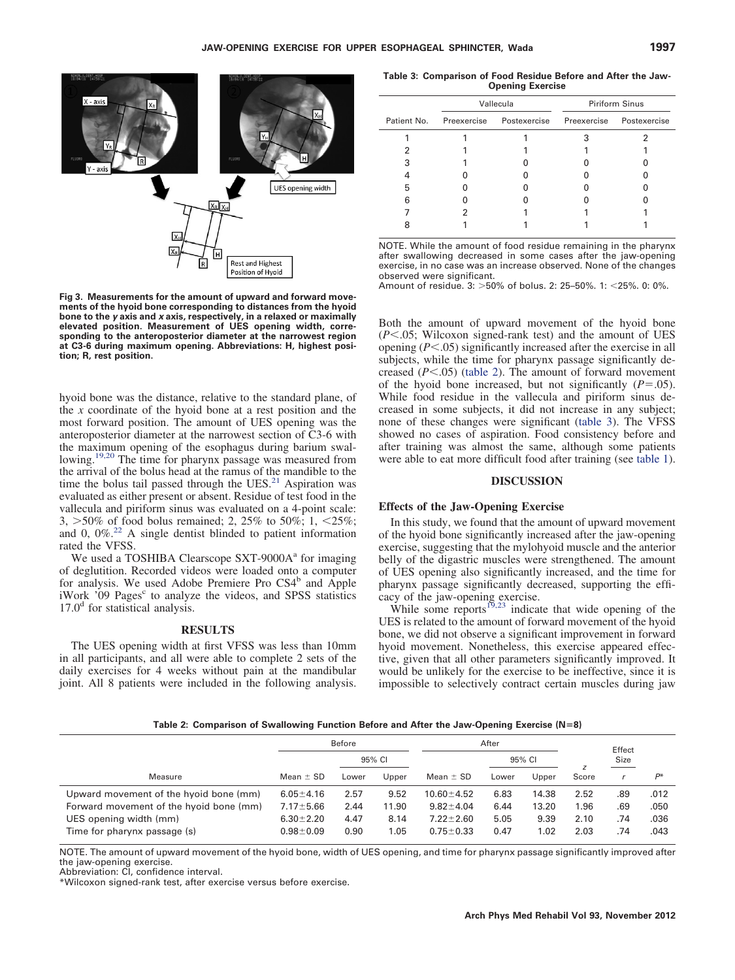

<span id="page-2-0"></span>**Fig 3. Measurements for the amount of upward and forward movements of the hyoid bone corresponding to distances from the hyoid bone to the** *y* **axis and** *x* **axis, respectively, in a relaxed or maximally elevated position. Measurement of UES opening width, corresponding to the anteroposterior diameter at the narrowest region at C3-6 during maximum opening. Abbreviations: H, highest position; R, rest position.**

hyoid bone was the distance, relative to the standard plane, of the *x* coordinate of the hyoid bone at a rest position and the most forward position. The amount of UES opening was the anteroposterior diameter at the narrowest section of C3-6 with the maximum opening of the esophagus during barium swallowing.[19,20](#page-4-0) The time for pharynx passage was measured from the arrival of the bolus head at the ramus of the mandible to the time the bolus tail passed through the  $UES.^{21}$  $UES.^{21}$  $UES.^{21}$  Aspiration was evaluated as either present or absent. Residue of test food in the vallecula and piriform sinus was evaluated on a 4-point scale: 3,  $>50\%$  of food bolus remained; 2, 25% to 50%; 1, <25%; and 0, 0%.[22](#page-4-2) A single dentist blinded to patient information rated the VFSS.

We used a TOSHIBA Clearscope SXT-9000A<sup>a</sup> for imaging of deglutition. Recorded videos were loaded onto a computer for analysis. We used Adobe Premiere Pro  $CS4<sup>b</sup>$  and Apple iWork '09 Pages<sup>c</sup> to analyze the videos, and SPSS statistics  $17.0<sup>d</sup>$  for statistical analysis.

#### **RESULTS**

The UES opening width at first VFSS was less than 10mm in all participants, and all were able to complete 2 sets of the daily exercises for 4 weeks without pain at the mandibular joint. All 8 patients were included in the following analysis.

<span id="page-2-2"></span>**Table 3: Comparison of Food Residue Before and After the Jaw-Opening Exercise**

|   | Vallecula                                                     | <b>Piriform Sinus</b> |  |  |
|---|---------------------------------------------------------------|-----------------------|--|--|
|   | Patient No. Preexercise Postexercise Preexercise Postexercise |                       |  |  |
|   |                                                               |                       |  |  |
|   |                                                               |                       |  |  |
| 3 |                                                               |                       |  |  |
|   |                                                               |                       |  |  |
| 5 |                                                               |                       |  |  |
| 6 |                                                               |                       |  |  |
|   |                                                               |                       |  |  |
|   |                                                               |                       |  |  |

NOTE. While the amount of food residue remaining in the pharynx after swallowing decreased in some cases after the jaw-opening exercise, in no case was an increase observed. None of the changes observed were significant.

Amount of residue. 3: >50% of bolus. 2: 25-50%. 1: <25%. 0: 0%.

Both the amount of upward movement of the hyoid bone  $(P<.05$ ; Wilcoxon signed-rank test) and the amount of UES opening  $(P<.05)$  significantly increased after the exercise in all subjects, while the time for pharynx passage significantly decreased  $(P<.05)$  [\(table 2\)](#page-2-1). The amount of forward movement of the hyoid bone increased, but not significantly  $(P = .05)$ . While food residue in the vallecula and piriform sinus decreased in some subjects, it did not increase in any subject; none of these changes were significant [\(table 3\)](#page-2-2). The VFSS showed no cases of aspiration. Food consistency before and after training was almost the same, although some patients were able to eat more difficult food after training (see [table 1\)](#page-1-0).

#### **DISCUSSION**

#### **Effects of the Jaw-Opening Exercise**

In this study, we found that the amount of upward movement of the hyoid bone significantly increased after the jaw-opening exercise, suggesting that the mylohyoid muscle and the anterior belly of the digastric muscles were strengthened. The amount of UES opening also significantly increased, and the time for pharynx passage significantly decreased, supporting the effi-

cacy of the jaw-opening exercise.<br>While some reports<sup>[19,23](#page-4-0)</sup> indicate that wide opening of the UES is related to the amount of forward movement of the hyoid bone, we did not observe a significant improvement in forward hyoid movement. Nonetheless, this exercise appeared effective, given that all other parameters significantly improved. It would be unlikely for the exercise to be ineffective, since it is impossible to selectively contract certain muscles during jaw

<span id="page-2-1"></span>**Table 2: Comparison of Swallowing Function Before and After the Jaw-Opening Exercise (N8)**

|                                         | Before          |       |        | After            |       |       |       | Effect |      |
|-----------------------------------------|-----------------|-------|--------|------------------|-------|-------|-------|--------|------|
|                                         | 95% CI          |       | 95% CI |                  |       | Size  |       |        |      |
| Measure                                 | Mean $\pm$ SD   | Lower | Upper  | Mean $\pm$ SD    | Lower | Upper | Score |        | D*   |
| Upward movement of the hyoid bone (mm)  | $6.05 \pm 4.16$ | 2.57  | 9.52   | $10.60 \pm 4.52$ | 6.83  | 14.38 | 2.52  | .89    | .012 |
| Forward movement of the hyoid bone (mm) | $7.17 \pm 5.66$ | 2.44  | 11.90  | $9.82 \pm 4.04$  | 6.44  | 13.20 | 1.96  | .69    | .050 |
| UES opening width (mm)                  | $6.30 \pm 2.20$ | 4.47  | 8.14   | $7.22 \pm 2.60$  | 5.05  | 9.39  | 2.10  | .74    | .036 |
| Time for pharynx passage (s)            | $0.98 + 0.09$   | 0.90  | 1.05   | $0.75 \pm 0.33$  | 0.47  | 1.02  | 2.03  | .74    | .043 |

NOTE. The amount of upward movement of the hyoid bone, width of UES opening, and time for pharynx passage significantly improved after the jaw-opening exercise.

Abbreviation: CI, confidence interval.

\*Wilcoxon signed-rank test, after exercise versus before exercise.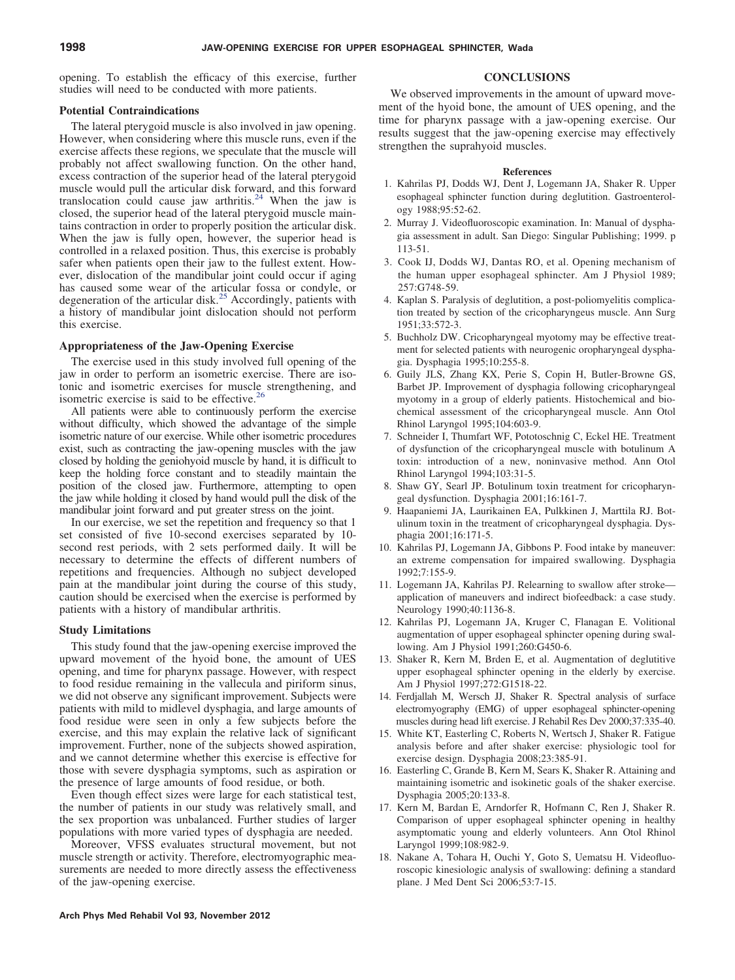opening. To establish the efficacy of this exercise, further studies will need to be conducted with more patients.

# **Potential Contraindications**

The lateral pterygoid muscle is also involved in jaw opening. However, when considering where this muscle runs, even if the exercise affects these regions, we speculate that the muscle will probably not affect swallowing function. On the other hand, excess contraction of the superior head of the lateral pterygoid muscle would pull the articular disk forward, and this forward translocation could cause jaw arthritis.<sup>[24](#page-4-3)</sup> When the jaw is closed, the superior head of the lateral pterygoid muscle maintains contraction in order to properly position the articular disk. When the jaw is fully open, however, the superior head is controlled in a relaxed position. Thus, this exercise is probably safer when patients open their jaw to the fullest extent. However, dislocation of the mandibular joint could occur if aging has caused some wear of the articular fossa or condyle, or degeneration of the articular disk.[25](#page-4-4) Accordingly, patients with a history of mandibular joint dislocation should not perform this exercise.

# **Appropriateness of the Jaw-Opening Exercise**

The exercise used in this study involved full opening of the jaw in order to perform an isometric exercise. There are isotonic and isometric exercises for muscle strengthening, and isometric exercise is said to be effective. $2^2$ 

All patients were able to continuously perform the exercise without difficulty, which showed the advantage of the simple isometric nature of our exercise. While other isometric procedures exist, such as contracting the jaw-opening muscles with the jaw closed by holding the geniohyoid muscle by hand, it is difficult to keep the holding force constant and to steadily maintain the position of the closed jaw. Furthermore, attempting to open the jaw while holding it closed by hand would pull the disk of the mandibular joint forward and put greater stress on the joint.

In our exercise, we set the repetition and frequency so that 1 set consisted of five 10-second exercises separated by 10 second rest periods, with 2 sets performed daily. It will be necessary to determine the effects of different numbers of repetitions and frequencies. Although no subject developed pain at the mandibular joint during the course of this study, caution should be exercised when the exercise is performed by patients with a history of mandibular arthritis.

#### **Study Limitations**

This study found that the jaw-opening exercise improved the upward movement of the hyoid bone, the amount of UES opening, and time for pharynx passage. However, with respect to food residue remaining in the vallecula and piriform sinus, we did not observe any significant improvement. Subjects were patients with mild to midlevel dysphagia, and large amounts of food residue were seen in only a few subjects before the exercise, and this may explain the relative lack of significant improvement. Further, none of the subjects showed aspiration, and we cannot determine whether this exercise is effective for those with severe dysphagia symptoms, such as aspiration or the presence of large amounts of food residue, or both.

Even though effect sizes were large for each statistical test, the number of patients in our study was relatively small, and the sex proportion was unbalanced. Further studies of larger populations with more varied types of dysphagia are needed.

Moreover, VFSS evaluates structural movement, but not muscle strength or activity. Therefore, electromyographic measurements are needed to more directly assess the effectiveness of the jaw-opening exercise.

# **CONCLUSIONS**

We observed improvements in the amount of upward movement of the hyoid bone, the amount of UES opening, and the time for pharynx passage with a jaw-opening exercise. Our results suggest that the jaw-opening exercise may effectively strengthen the suprahyoid muscles.

#### **References**

- <span id="page-3-0"></span>1. Kahrilas PJ, Dodds WJ, Dent J, Logemann JA, Shaker R. Upper esophageal sphincter function during deglutition. Gastroenterology 1988;95:52-62.
- <span id="page-3-1"></span>2. Murray J. Videofluoroscopic examination. In: Manual of dysphagia assessment in adult. San Diego: Singular Publishing; 1999. p 113-51.
- <span id="page-3-2"></span>3. Cook IJ, Dodds WJ, Dantas RO, et al. Opening mechanism of the human upper esophageal sphincter. Am J Physiol 1989; 257:G748-59.
- <span id="page-3-3"></span>4. Kaplan S. Paralysis of deglutition, a post-poliomyelitis complication treated by section of the cricopharyngeus muscle. Ann Surg 1951;33:572-3.
- 5. Buchholz DW. Cricopharyngeal myotomy may be effective treatment for selected patients with neurogenic oropharyngeal dysphagia. Dysphagia 1995;10:255-8.
- 6. Guily JLS, Zhang KX, Perie S, Copin H, Butler-Browne GS, Barbet JP. Improvement of dysphagia following cricopharyngeal myotomy in a group of elderly patients. Histochemical and biochemical assessment of the cricopharyngeal muscle. Ann Otol Rhinol Laryngol 1995;104:603-9.
- 7. Schneider I, Thumfart WF, Pototoschnig C, Eckel HE. Treatment of dysfunction of the cricopharyngeal muscle with botulinum A toxin: introduction of a new, noninvasive method. Ann Otol Rhinol Laryngol 1994;103:31-5.
- 8. Shaw GY, Searl JP. Botulinum toxin treatment for cricopharyngeal dysfunction. Dysphagia 2001;16:161-7.
- 9. Haapaniemi JA, Laurikainen EA, Pulkkinen J, Marttila RJ. Botulinum toxin in the treatment of cricopharyngeal dysphagia. Dysphagia 2001;16:171-5.
- <span id="page-3-4"></span>10. Kahrilas PJ, Logemann JA, Gibbons P. Food intake by maneuver: an extreme compensation for impaired swallowing. Dysphagia 1992;7:155-9.
- 11. Logemann JA, Kahrilas PJ. Relearning to swallow after stroke application of maneuvers and indirect biofeedback: a case study. Neurology 1990;40:1136-8.
- 12. Kahrilas PJ, Logemann JA, Kruger C, Flanagan E. Volitional augmentation of upper esophageal sphincter opening during swallowing. Am J Physiol 1991;260:G450-6.
- <span id="page-3-5"></span>13. Shaker R, Kern M, Brden E, et al. Augmentation of deglutitive upper esophageal sphincter opening in the elderly by exercise. Am J Physiol 1997;272:G1518-22.
- 14. Ferdjallah M, Wersch JJ, Shaker R. Spectral analysis of surface electromyography (EMG) of upper esophageal sphincter-opening muscles during head lift exercise. J Rehabil Res Dev 2000;37:335-40.
- <span id="page-3-6"></span>15. White KT, Easterling C, Roberts N, Wertsch J, Shaker R. Fatigue analysis before and after shaker exercise: physiologic tool for exercise design. Dysphagia 2008;23:385-91.
- <span id="page-3-7"></span>16. Easterling C, Grande B, Kern M, Sears K, Shaker R. Attaining and maintaining isometric and isokinetic goals of the shaker exercise. Dysphagia 2005;20:133-8.
- 17. Kern M, Bardan E, Arndorfer R, Hofmann C, Ren J, Shaker R. Comparison of upper esophageal sphincter opening in healthy asymptomatic young and elderly volunteers. Ann Otol Rhinol Laryngol 1999;108:982-9.
- <span id="page-3-8"></span>18. Nakane A, Tohara H, Ouchi Y, Goto S, Uematsu H. Videofluoroscopic kinesiologic analysis of swallowing: defining a standard plane. J Med Dent Sci 2006;53:7-15.